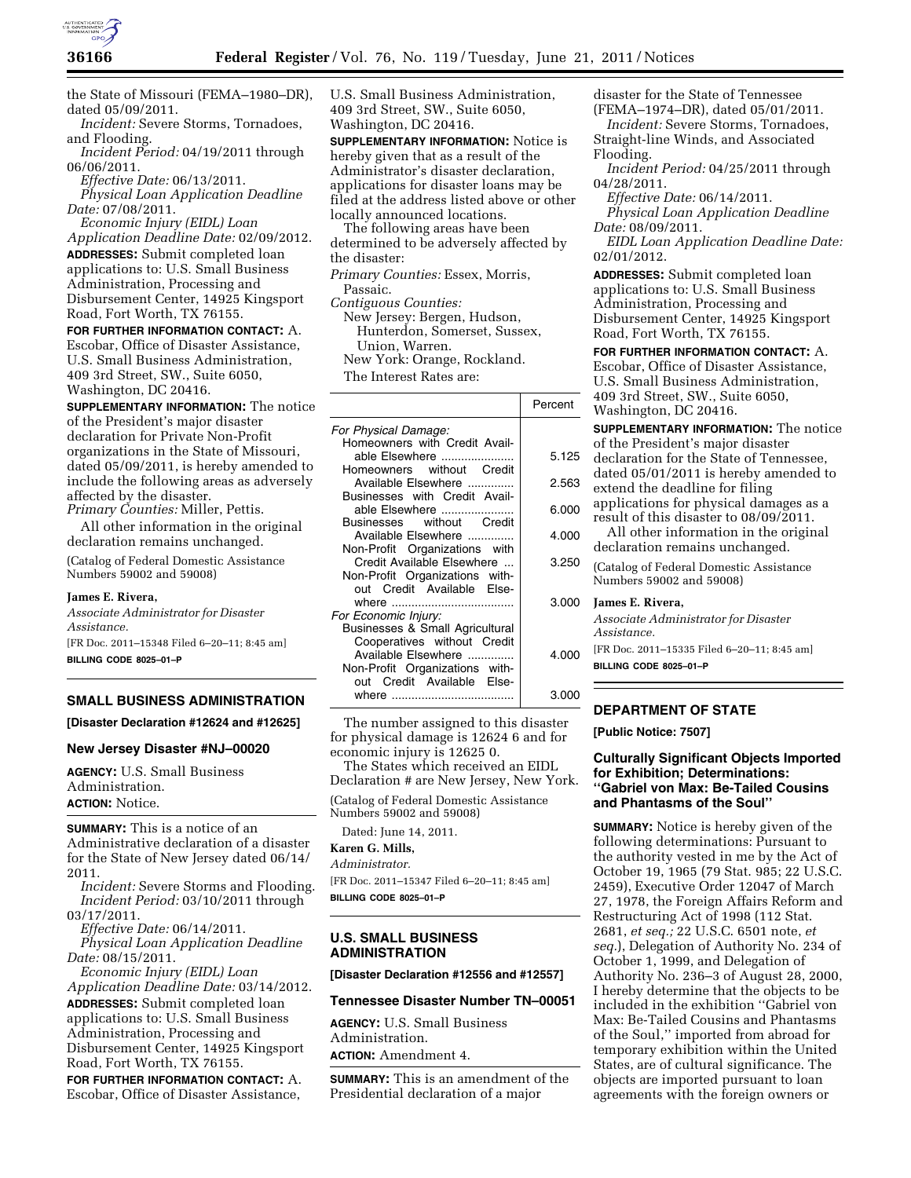

the State of Missouri (FEMA–1980–DR), dated 05/09/2011.

*Incident:* Severe Storms, Tornadoes, and Flooding.

*Incident Period:* 04/19/2011 through 06/06/2011.

*Effective Date:* 06/13/2011. *Physical Loan Application Deadline Date:* 07/08/2011.

*Economic Injury (EIDL) Loan Application Deadline Date:* 02/09/2012. **ADDRESSES:** Submit completed loan applications to: U.S. Small Business Administration, Processing and Disbursement Center, 14925 Kingsport Road, Fort Worth, TX 76155.

**FOR FURTHER INFORMATION CONTACT:** A. Escobar, Office of Disaster Assistance, U.S. Small Business Administration, 409 3rd Street, SW., Suite 6050, Washington, DC 20416.

**SUPPLEMENTARY INFORMATION:** The notice of the President's major disaster declaration for Private Non-Profit organizations in the State of Missouri, dated 05/09/2011, is hereby amended to include the following areas as adversely affected by the disaster. *Primary Counties:* Miller, Pettis.

All other information in the original declaration remains unchanged.

(Catalog of Federal Domestic Assistance Numbers 59002 and 59008)

## **James E. Rivera,**

*Associate Administrator for Disaster Assistance.* 

[FR Doc. 2011–15348 Filed 6–20–11; 8:45 am] **BILLING CODE 8025–01–P** 

# **SMALL BUSINESS ADMINISTRATION**

**[Disaster Declaration #12624 and #12625]** 

### **New Jersey Disaster #NJ–00020**

**AGENCY:** U.S. Small Business Administration. **ACTION:** Notice.

**SUMMARY:** This is a notice of an Administrative declaration of a disaster for the State of New Jersey dated 06/14/ 2011.

*Incident:* Severe Storms and Flooding. *Incident Period:* 03/10/2011 through 03/17/2011.

*Effective Date:* 06/14/2011. *Physical Loan Application Deadline Date:* 08/15/2011.

*Economic Injury (EIDL) Loan Application Deadline Date:* 03/14/2012. **ADDRESSES:** Submit completed loan applications to: U.S. Small Business Administration, Processing and Disbursement Center, 14925 Kingsport Road, Fort Worth, TX 76155.

**FOR FURTHER INFORMATION CONTACT:** A. Escobar, Office of Disaster Assistance,

U.S. Small Business Administration, 409 3rd Street, SW., Suite 6050, Washington, DC 20416.

**SUPPLEMENTARY INFORMATION:** Notice is hereby given that as a result of the Administrator's disaster declaration, applications for disaster loans may be filed at the address listed above or other locally announced locations.

The following areas have been determined to be adversely affected by the disaster:

*Primary Counties:* Essex, Morris, Passaic.

*Contiguous Counties:* 

New Jersey: Bergen, Hudson, Hunterdon, Somerset, Sussex, Union, Warren. New York: Orange, Rockland. The Interest Rates are:

Percent *For Physical Damage:*  Homeowners with Credit Available Elsewhere ...................... 5.125 Homeowners without Credit Available Elsewhere .............. 2.563 Businesses with Credit Available Elsewhere ...................... 6.000 **Businesses** Available Elsewhere ................ | 4.000 Non-Profit Organizations with Credit Available Elsewhere ... | 3.250 Non-Profit Organizations without Credit Available Elsewhere ..................................... 3.000 *For Economic Injury:*  Businesses & Small Agricultural Cooperatives without Credit Available Elsewhere ................ | 4.000 Non-Profit Organizations without Credit Available Elsewhere ..................................... 3.000

The number assigned to this disaster for physical damage is 12624 6 and for economic injury is 12625 0.

The States which received an EIDL Declaration # are New Jersey, New York.

(Catalog of Federal Domestic Assistance Numbers 59002 and 59008)

Dated: June 14, 2011.

**Karen G. Mills,**  *Administrator.* 

[FR Doc. 2011–15347 Filed 6–20–11; 8:45 am] **BILLING CODE 8025–01–P** 

## **U.S. SMALL BUSINESS ADMINISTRATION**

**[Disaster Declaration #12556 and #12557]** 

### **Tennessee Disaster Number TN–00051**

**AGENCY:** U.S. Small Business Administration. **ACTION:** Amendment 4.

**SUMMARY:** This is an amendment of the Presidential declaration of a major

disaster for the State of Tennessee

(FEMA–1974–DR), dated 05/01/2011. *Incident:* Severe Storms, Tornadoes, Straight-line Winds, and Associated Flooding.

*Incident Period:* 04/25/2011 through 04/28/2011.

*Effective Date:* 06/14/2011. *Physical Loan Application Deadline Date:* 08/09/2011.

*EIDL Loan Application Deadline Date:*  02/01/2012.

**ADDRESSES:** Submit completed loan applications to: U.S. Small Business Administration, Processing and Disbursement Center, 14925 Kingsport Road, Fort Worth, TX 76155.

**FOR FURTHER INFORMATION CONTACT:** A. Escobar, Office of Disaster Assistance, U.S. Small Business Administration, 409 3rd Street, SW., Suite 6050, Washington, DC 20416.

**SUPPLEMENTARY INFORMATION:** The notice of the President's major disaster declaration for the State of Tennessee, dated 05/01/2011 is hereby amended to extend the deadline for filing

- applications for physical damages as a result of this disaster to 08/09/2011.
- All other information in the original declaration remains unchanged.

(Catalog of Federal Domestic Assistance Numbers 59002 and 59008)

**James E. Rivera,** 

*Associate Administrator for Disaster Assistance.* 

[FR Doc. 2011–15335 Filed 6–20–11; 8:45 am] **BILLING CODE 8025–01–P** 

# **DEPARTMENT OF STATE**

**[Public Notice: 7507]** 

## **Culturally Significant Objects Imported for Exhibition; Determinations: ''Gabriel von Max: Be-Tailed Cousins and Phantasms of the Soul''**

**SUMMARY:** Notice is hereby given of the following determinations: Pursuant to the authority vested in me by the Act of October 19, 1965 (79 Stat. 985; 22 U.S.C. 2459), Executive Order 12047 of March 27, 1978, the Foreign Affairs Reform and Restructuring Act of 1998 (112 Stat. 2681, *et seq.;* 22 U.S.C. 6501 note, *et seq.*), Delegation of Authority No. 234 of October 1, 1999, and Delegation of Authority No. 236–3 of August 28, 2000, I hereby determine that the objects to be included in the exhibition ''Gabriel von Max: Be-Tailed Cousins and Phantasms of the Soul,'' imported from abroad for temporary exhibition within the United States, are of cultural significance. The objects are imported pursuant to loan agreements with the foreign owners or